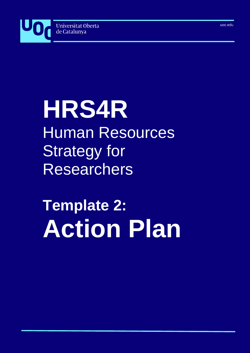

## **HRS4R** Human Resources Strategy for Researchers

# **Template 2: Action Plan**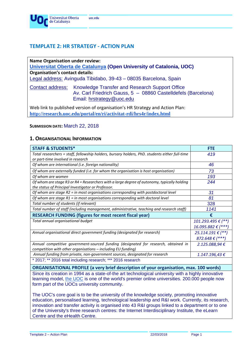## **TEMPLATE 2: HR STRATEGY - ACTION PLAN**

| <b>Name Organisation under review:</b><br><b>Organisation's contact details:</b> | Universitat Oberta de Catalunya (Open University of Catalonia, UOC)<br>Legal address: Avinguda Tibidabo, 39-43 - 08035 Barcelona, Spain      |
|----------------------------------------------------------------------------------|----------------------------------------------------------------------------------------------------------------------------------------------|
| Contact address:                                                                 | Knowledge Transfer and Research Support Office<br>Av. Carl Friedrich Gauss, 5 - 08860 Castelldefels (Barcelona)<br>Email: hrstrategy@uoc.edu |
|                                                                                  | Web link to published version of organisation's HR Strategy and Action Plan:                                                                 |

**<http://research.uoc.edu/portal/en/ri/activitat-rdi/hrs4r/index.html>**

#### **SUBMISSION DATE:** March 22, 2018

#### **1. ORGANISATIONAL INFORMATION**

| <b>STAFF &amp; STUDENTS*</b>                                                                                                                      | <b>FTE</b>                  |
|---------------------------------------------------------------------------------------------------------------------------------------------------|-----------------------------|
| Total researchers = staff, fellowship holders, bursary holders, PhD. students either full-time                                                    | 419                         |
| or part-time involved in research                                                                                                                 |                             |
| Of whom are international (i.e. foreign nationality)                                                                                              | 46                          |
| Of whom are externally funded (i.e. for whom the organisation is host organisation)                                                               | 73                          |
| Of whom are women                                                                                                                                 | 193                         |
| Of whom are stage R3 or R4 = Researchers with a large degree of autonomy, typically holding<br>the status of Principal Investigator or Professor. | 244                         |
| Of whom are stage $R2$ = in most organisations corresponding with postdoctoral level                                                              | 31                          |
| Of whom are stage $R1$ = in most organisations corresponding with doctoral level                                                                  | 81                          |
| Total number of students (if relevant)                                                                                                            | 328                         |
| Total number of staff (including management, administrative, teaching and research staff)                                                         | 1141                        |
| <b>RESEARCH FUNDING (figures for most recent fiscal year)</b>                                                                                     | €                           |
| Total annual organisational budget                                                                                                                | 101.293.495 € (**)          |
|                                                                                                                                                   | 16.095.882 € (***)          |
| Annual organisational direct government funding (designated for research)                                                                         | 25.114.191 € $(**)$         |
|                                                                                                                                                   | 872.648 $\varepsilon$ (***) |
| Annual competitive government-sourced funding (designated for research, obtained in                                                               | 2.125.088,94 €              |
| competition with other organisations - including EU funding)                                                                                      |                             |
| Annual funding from private, non-government sources, designated for research                                                                      | 1.147.196,43€               |
| * 2017; ** 2016 total including research; *** 2016 research                                                                                       |                             |
| <b>ORGANISATIONAL PROFILE (a very brief description of your organisation, max. 100 words)</b>                                                     |                             |
| Since its creation in 1994 as a state-of-the art technological university with a highly innovative                                                |                             |

Since its creation in 1994 as a state-of-the art technological university with a highly innovative learning model, [the UOC](https://www.youtube.com/channel/UCm3FGJTmlb30B71183Pza4A) is one of the world's premier online universities. 200.000 people now form part of the UOCs university community.

The UOC's core goal is to be the university of the knowledge society, promoting innovative education, personalised learning, technological leadership and R&I work. Currently, its research, innovation and transfer activity is organised into 43 R&I groups linked to a department or to one of the University's three research centres: the Internet Interdisciplinary Institute, the eLearn Centre and the eHealth Centre.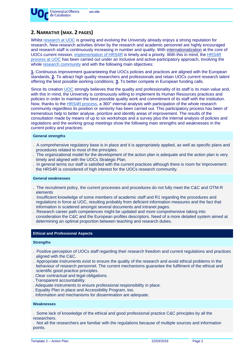

## **2. NARRATIVE (MAX. 2 PAGES)**

Whilst [research at UOC](http://research.uoc.edu/portal/en/ri/index.html) is growing and evolving the University already enjoys a strong reputation for research. New research activities driven by the research and academic personnel are highly encouraged and research staff is continuously increasing in number and quality. With [internationalization](http://corporate.uoc.edu/portal/en/universitat/internacional/index.html) at the core of UOCs current mission, [implementation of HRS4R](http://research.uoc.edu/portal/en/ri/activitat-rdi/hrs4r/index.html) is timely and a priority. With this in mind, the [HRS4R](http://research.uoc.edu/portal/en/ri/activitat-rdi/hrs4r/proces/index.html)  [process at UOC](http://research.uoc.edu/portal/en/ri/activitat-rdi/hrs4r/proces/index.html) has been carried out under an inclusive and active-participatory approach, involving the whole [research community](http://transfer.rdi.uoc.edu/en/knowledge-map) and with the following main objectives:

**1.** Continuous improvement guaranteeing that UOCs policies and practices are aligned with the European standards; **2.** To attract high quality researchers and professionals and retain UOCs current research talent offering the best possible working conditions; **3.** To better compete in European funding calls.

Since its creation [UOC](http://www.uoc.edu/portal/en/index.html) strongly believes that the quality and professionality of its staff is its main value and, with this in mind, the University is continuously willing to implement its Human Resources practices and policies in order to maintain the best possible quality work and commitment of its staff with the institution. Now, thanks to the [HRS4R process,](http://research.uoc.edu/portal/en/ri/activitat-rdi/hrs4r/proces/index.html) a 360° internal analysis with participation of the whole research community regardless its position or seniority has been carried out. This participatory process has been of tremendous help to better analyse, prioritize and identify areas of improvement. The results of the consultation made by means of up to six workshops and a survey plus the internal analysis of policies and regulations and the working group meetings show the following main strengths and weaknesses in the current policy and practices:

#### **General strengths**

- . A comprehensive regulatory base is in place and it is appropriately applied, as well as specific plans and procedures related to most of the principles.
- . The organizational model for the development of the action plan is adequate and the action plan is very timely and aligned with the UOCs Strategic Plan.
- . In general terms our staff is satisfied with the current practices although there is room for improvement: the HRS4R is considered of high interest for the UOCs research community.

#### **General weaknesses**

- . The recruitment policy, the current processes and procedures do not fully meet the C&C and OTM-R elements
- . Insufficient knowledge of some members of academic staff and R1 regarding the procedures and regulations in force at UOC, resulting probably from deficient information measures and the fact that information is scattered amongst several documents and intranet pages.
- . Research career path competences might be updated and more comprehensive taking into consideration the C&C and the European profiles descriptors. Need of a more detailed system aimed at determining an optimal proportion between teaching and research duties.

#### **Ethical and Professional Aspects**

#### **Strengths**

- . Positive perception of UOCs staff regarding their research freedom and current regulations and practices aligned with the C&C.
- . Appropriate instruments exist to ensure the quality of the research and avoid ethical problems in the behaviour of research personnel. The current mechanisms guarantee the fulfilment of the ethical and scientific good practice principles.
- . Clear contractual and legal obligations.
- . Transparent accountability.
- . Adequate instruments to ensure professional responsibility in place.
- . Equality Plan in place and Accessibility Program, too.
- . Information and mechanisms for dissemination are adequate.

#### **Weaknesses**

. Some lack of knowledge of the ethical and good professional practice C&C principles by all the researchers.

. Not all the researchers are familiar with the regulations because of multiple sources and information points.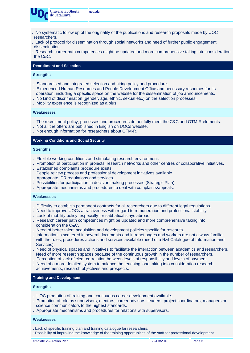

- . No systematic follow up of the originality of the publications and research proposals made by UOC researchers.
- . Lack of protocol for dissemination through social networks and need of further public engagement dissemination.
- . Research career path competences might be updated and more comprehensive taking into consideration the C&C.

#### **Recruitment and Selection**

#### **Strengths**

- . Standardised and integrated selection and hiring policy and procedure.
- . Experienced Human Resources and People Development Office and necessary resources for its operation, including a specific space on the website for the dissemination of job announcements.
- . No kind of discrimination (gender, age, ethnic, sexual etc.) on the selection processes.
- . Mobility experience is recognized as a plus.

#### **Weaknesses**

- . The recruitment policy, processes and procedures do not fully meet the C&C and OTM-R elements.
- . Not all the offers are published in English on UOCs website.
- . Not enough information for researchers about OTM-R.

#### **Working Conditions and Social Security**

#### **Strengths**

- . Flexible working conditions and stimulating research environment.
- . Promotion of participation in projects, research networks and other centres or collaborative initiatives.
- . Established complaints procedure exists.
- . People review process and professional development initiatives available.
- . Appropriate IPR regulations and services.
- . Possibilities for participation in decision making processes (Strategic Plan).
- . Appropriate mechanisms and procedures to deal with complaints/appeals.

#### **Weaknesses**

- . Difficulty to establish permanent contracts for all researchers due to different legal regulations.
- . Need to improve UOCs attractiveness with regard to remuneration and professional stability.
- . Lack of mobility policy, especially for sabbatical stays abroad.
- . Research career path competences might be updated and more comprehensive taking into consideration the C&C.
- . Need of better talent acquisition and development policies specific for research.
- . Information is scattered in several documents and intranet pages and workers are not always familiar with the rules, procedures actions and services available (need of a R&I Catalogue of Information and Services).
- . Need of physical spaces and initiatives to facilitate the interaction between academics and researchers. Need of more research spaces because of the continuous growth in the number of researchers.
- . Perception of lack of clear correlation between levels of responsibility and levels of payment.
- . Need of a more detailed system to balance the teaching load taking into consideration research achievements, research objectives and prospects.

#### **Training and Development**

#### **Strengths**

- . UOC promotion of training and continuous career development available.
- . Promotion of role as supervisors, mentors, career advisors, leaders, project coordinators, managers or science communicators to the highest standards.
- . Appropriate mechanisms and procedures for relations with supervisors.

#### **Weaknesses**

- . Lack of specific training plan and training catalogue for researchers.
- . Possibility of improving the knowledge of the training opportunities of the staff for professional development.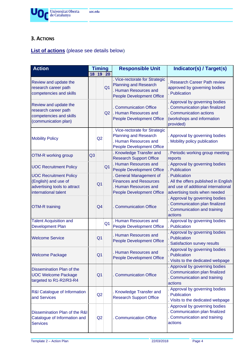

## **3. ACTIONS**

## **List of actions** (please see details below)

| <b>Action</b>                                                                                                 | 18 | <b>Timing</b><br>19 | 20             | <b>Responsible Unit</b>                                                                                                          | Indicator(s) / Target(s)                                                                                                                |
|---------------------------------------------------------------------------------------------------------------|----|---------------------|----------------|----------------------------------------------------------------------------------------------------------------------------------|-----------------------------------------------------------------------------------------------------------------------------------------|
| Review and update the<br>research career path<br>competencies and skills                                      |    |                     | Q <sub>1</sub> | . Vice-rectorate for Strategic<br><b>Planning and Research</b><br><b>Human Resources and</b><br><b>People Development Office</b> | <b>Research Career Path review</b><br>approved by governing bodies<br>Publication                                                       |
| Review and update the<br>research career path<br>competencies and skills<br>(communication plan)              |    |                     | Q2             | <b>Communication Office</b><br>. Human Resources and<br><b>People Development Office</b>                                         | Approval by governing bodies<br>Communication plan finalized<br><b>Communication actions</b><br>(workshops and information<br>provided) |
| <b>Mobility Policy</b>                                                                                        |    | Q2                  |                | . Vice-rectorate for Strategic<br><b>Planning and Research</b><br><b>Human Resources and</b><br><b>People Development Office</b> | Approval by governing bodies<br>Mobility policy publication                                                                             |
| OTM-R working group                                                                                           | Q3 |                     |                | Knowledge Transfer and<br><b>Research Support Office</b>                                                                         | Periodic working group meeting<br>reports                                                                                               |
| <b>UOC Recruitment Policy</b>                                                                                 |    |                     | Q <sub>1</sub> | <b>Human Resources and</b><br><b>People Development Office</b>                                                                   | Approval by governing bodies<br>Publication                                                                                             |
| <b>UOC Recruitment Policy</b><br>(English) and use of<br>advertising tools to attract<br>international talent |    | Q <sub>1</sub>      |                | <b>General Management of</b><br><b>Finances and Resources</b><br>Human Resources and<br><b>People Development Office</b>         | Publication<br>All the offers published in English<br>and use of additional international<br>advertising tools when needed              |
| <b>OTM-R training</b>                                                                                         |    | Q4                  |                | <b>Communication Office</b>                                                                                                      | Approval by governing bodies<br>Communication plan finalized<br>Communication and training<br>actions                                   |
| <b>Talent Acquisition and</b><br><b>Development Plan</b>                                                      |    |                     | Q <sub>1</sub> | Human Resources and<br><b>People Development Office</b>                                                                          | Approval by governing bodies<br>Publication                                                                                             |
| <b>Welcome Service</b>                                                                                        |    | Q <sub>1</sub>      |                | Human Resources and<br><b>People Development Office</b>                                                                          | Approval by governing bodies<br>Publication<br>Satisfaction survey results                                                              |
| <b>Welcome Package</b>                                                                                        |    | Q <sub>1</sub>      |                | Human Resources and<br><b>People Development Office</b>                                                                          | Approval by governing bodies<br>Publication<br>Visits to the dedicated webpage                                                          |
| Dissemination Plan of the<br><b>UOC Welcome Package</b><br>targeted to R1-R2/R3-R4                            |    | Q <sub>1</sub>      |                | <b>Communication Office</b>                                                                                                      | Approval by governing bodies<br>Communication plan finalized<br>Communication and training<br>actions                                   |
| R&I Catalogue of Information<br>and Services                                                                  |    | Q2                  |                | Knowledge Transfer and<br><b>Research Support Office</b>                                                                         | Approval by governing bodies<br>Publication<br>Visits to the dedicated webpage                                                          |
| Dissemination Plan of the R&I<br>Catalogue of Information and<br><b>Services</b>                              |    | Q2                  |                | <b>Communication Office</b>                                                                                                      | Approval by governing bodies<br>Communication plan finalized<br>Communication and training<br>actions                                   |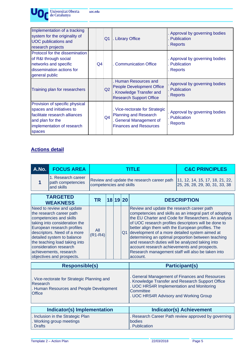| Implementation of a tracking<br>system for the originality of<br><b>UOC</b> publications and<br>research projects                                        |    | Q <sub>1</sub> | <b>Library Office</b>                                                                                                         | Approval by governing bodies<br>Publication<br>Reports     |
|----------------------------------------------------------------------------------------------------------------------------------------------------------|----|----------------|-------------------------------------------------------------------------------------------------------------------------------|------------------------------------------------------------|
| Protocol for the dissemination<br>of R&I through social<br>networks and specific<br>dissemination actions for<br>general public                          | Q4 |                | <b>Communication Office</b>                                                                                                   | Approval by governing bodies<br>Publication<br>. Reports   |
| Training plan for researchers                                                                                                                            |    | Q2             | Human Resources and<br><b>People Development Office</b><br>Knowledge Transfer and<br><b>Research Support Office</b>           | Approval by governing bodies<br>Publication<br>. Reports   |
| Provision of specific physical<br>spaces and initiatives to<br>facilitate research alliances<br>and plan for the<br>implementation of research<br>spaces |    | Q <sub>4</sub> | Vice-rectorate for Strategic<br><b>Planning and Research</b><br><b>General Management of</b><br><b>Finances and Resources</b> | . Approval by governing bodies<br>Publication<br>. Reports |

## **Actions detail**

| A.No.                     | <b>FOCUS AREA</b>                                                                                                                                                                                                                                                                                                              |                         |  |  |          | <b>TITLE</b>                                                                                                                                                                                                                                                      | <b>C&amp;C PRINCIPLES</b>                                                                                                                                                                                                                                                          |
|---------------------------|--------------------------------------------------------------------------------------------------------------------------------------------------------------------------------------------------------------------------------------------------------------------------------------------------------------------------------|-------------------------|--|--|----------|-------------------------------------------------------------------------------------------------------------------------------------------------------------------------------------------------------------------------------------------------------------------|------------------------------------------------------------------------------------------------------------------------------------------------------------------------------------------------------------------------------------------------------------------------------------|
| 1                         | 1. Research career<br>path competencies<br>and skills                                                                                                                                                                                                                                                                          | competencies and skills |  |  |          | Review and update the research career path                                                                                                                                                                                                                        | 11, 12, 14, 15, 17, 18, 21, 22,<br>25, 26, 28, 29, 30, 31, 33, 38                                                                                                                                                                                                                  |
|                           | <b>TARGETED</b><br><b>WEAKNESS</b>                                                                                                                                                                                                                                                                                             | <b>TR</b>               |  |  | 18 19 20 |                                                                                                                                                                                                                                                                   | <b>DESCRIPTION</b>                                                                                                                                                                                                                                                                 |
|                           | Need to review and update<br>the research career path<br>competencies and skills<br>taking into consideration the<br>European research profiles<br>descriptors. Need of a more<br>detailed system to balance<br>the teaching load taking into<br>consideration research<br>achievements, research<br>objectives and prospects. | All<br>$(R1-R4)$        |  |  | Q1       | Review and update the research career path<br>better align them with the European profiles. The<br>development of a more detailed system aimed at<br>and research duties will be analyzed taking into<br>account research achievements and prospects.<br>account. | competencies and skills as an integral part of adopting<br>the EU Charter and Code for Researchers. An analysis<br>of UOC research profiles descriptors will be done to<br>determining an optimal proportion between teaching<br>Research management staff will also be taken into |
|                           | <b>Responsible(s)</b>                                                                                                                                                                                                                                                                                                          |                         |  |  |          |                                                                                                                                                                                                                                                                   | <b>Participant(s)</b>                                                                                                                                                                                                                                                              |
| Research<br><b>Office</b> | Vice-rectorate for Strategic Planning and<br>Human Resources and People Development                                                                                                                                                                                                                                            |                         |  |  |          | UOC HRS4R Implementation and Monitoring<br>Committee<br>. UOC HRS4R Advisory and Working Group                                                                                                                                                                    | <b>General Management of Finances and Resources</b><br>Knowledge Transfer and Research Support Office                                                                                                                                                                              |
|                           | <b>Indicator(s) Implementation</b>                                                                                                                                                                                                                                                                                             |                         |  |  |          |                                                                                                                                                                                                                                                                   | <b>Indicator(s) Achievement</b>                                                                                                                                                                                                                                                    |
| <b>Drafts</b>             | Inclusion in the Strategic Plan<br>Working group meetings                                                                                                                                                                                                                                                                      |                         |  |  |          | bodies<br>. Publication                                                                                                                                                                                                                                           | Research Career Path review approved by governing                                                                                                                                                                                                                                  |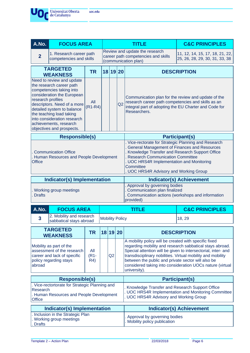

| A.No.                                                       | <b>FOCUS AREA</b>                                                                                                                                                                                                                                                                              |                       |                        |    |    | <b>TITLE</b>                                                                                                                                                                                                                                                                                                                                                                         | <b>C&amp;C PRINCIPLES</b>                                         |  |
|-------------------------------------------------------------|------------------------------------------------------------------------------------------------------------------------------------------------------------------------------------------------------------------------------------------------------------------------------------------------|-----------------------|------------------------|----|----|--------------------------------------------------------------------------------------------------------------------------------------------------------------------------------------------------------------------------------------------------------------------------------------------------------------------------------------------------------------------------------------|-------------------------------------------------------------------|--|
| $\overline{2}$                                              | 1. Research career path<br>competencies and skills                                                                                                                                                                                                                                             |                       |                        |    |    | Review and update the research<br>career path competencies and skills<br>(communication plan)                                                                                                                                                                                                                                                                                        | 11, 12, 14, 15, 17, 18, 21, 22,<br>25, 26, 28, 29, 30, 31, 33, 38 |  |
| <b>TARGETED</b><br><b>TR</b><br>18 19 20<br><b>WEAKNESS</b> |                                                                                                                                                                                                                                                                                                |                       |                        |    |    |                                                                                                                                                                                                                                                                                                                                                                                      | <b>DESCRIPTION</b>                                                |  |
| research profiles                                           | Need to review and update<br>the research career path<br>competencies taking into<br>consideration the European<br>descriptors. Need of a more<br>detailed system to balance<br>the teaching load taking<br>into consideration research<br>achievements, research<br>objectives and prospects. | All<br>$(R1-R4)$      |                        |    | Q2 | Communication plan for the review and update of the<br>research career path competencies and skills as an<br>integral part of adopting the EU Charter and Code for<br>Researchers.                                                                                                                                                                                                   |                                                                   |  |
|                                                             | <b>Responsible(s)</b>                                                                                                                                                                                                                                                                          |                       |                        |    |    |                                                                                                                                                                                                                                                                                                                                                                                      | <b>Participant(s)</b>                                             |  |
| <b>Office</b>                                               | <b>Communication Office</b><br>Human Resources and People Development                                                                                                                                                                                                                          |                       |                        |    |    | . Vice-rectorate for Strategic Planning and Research<br>General Management of Finances and Resources<br>Knowledge Transfer and Research Support Office<br><b>Research Communication Committee</b><br>UOC HRS4R Implementation and Monitoring<br>Committee<br><b>UOC HRS4R Advisory and Working Group</b>                                                                             |                                                                   |  |
|                                                             | <b>Indicator(s) Implementation</b>                                                                                                                                                                                                                                                             |                       |                        |    |    | <b>Indicator(s) Achievement</b>                                                                                                                                                                                                                                                                                                                                                      |                                                                   |  |
| <b>Drafts</b>                                               | Working group meetings                                                                                                                                                                                                                                                                         |                       |                        |    |    | . Approval by governing bodies<br>Communication plan finalized<br>Communication actions (workshops and information<br>provided)                                                                                                                                                                                                                                                      |                                                                   |  |
| A.No.                                                       | <b>FOCUS AREA</b>                                                                                                                                                                                                                                                                              |                       |                        |    |    | <b>TITLE</b>                                                                                                                                                                                                                                                                                                                                                                         | <b>C&amp;C PRINCIPLES</b>                                         |  |
| $\overline{\mathbf{3}}$                                     | 2. Mobility and research<br>sabbatical stays abroad                                                                                                                                                                                                                                            |                       | <b>Mobility Policy</b> |    |    |                                                                                                                                                                                                                                                                                                                                                                                      | 18, 29                                                            |  |
|                                                             | <b>TARGETED</b><br><b>WEAKNESS</b>                                                                                                                                                                                                                                                             | <b>TR</b>             | 18 19                  |    | 20 |                                                                                                                                                                                                                                                                                                                                                                                      | <b>DESCRIPTION</b>                                                |  |
| abroad                                                      | Mobility as part of the<br>assessment of the research<br>career and lack of specific<br>policy regarding stays                                                                                                                                                                                 | All<br>$(R1 -$<br>R4) |                        | Q2 |    | A mobility policy will be created with specific fixed<br>regarding mobility and research sabbatical stays abroad.<br>Special attention will be given to intersectorial, inter- and<br>transdisciplinary nobilities. Virtual mobility and mobility<br>between the public and private sector will also be<br>considered taking into consideration UOCs nature (virtual<br>university). |                                                                   |  |
|                                                             | <b>Responsible(s)</b>                                                                                                                                                                                                                                                                          |                       |                        |    |    |                                                                                                                                                                                                                                                                                                                                                                                      | <b>Participant(s)</b>                                             |  |
| Research<br>Office                                          | . Vice-rectortorate for Strategic Planning and<br>. Human Resources and People Development                                                                                                                                                                                                     |                       |                        |    |    | . Knowledge Transfer and Research Support Office<br>. UOC HRS4R Advisory and Working Group                                                                                                                                                                                                                                                                                           | . UOC HRS4R Implementation and Monitoring Committee               |  |
|                                                             | Indicator(s) Implementation                                                                                                                                                                                                                                                                    |                       |                        |    |    |                                                                                                                                                                                                                                                                                                                                                                                      | <b>Indicator(s) Achievement</b>                                   |  |
| <b>Drafts</b>                                               | Inclusion in the Strategic Plan<br><b>Working group meetings</b>                                                                                                                                                                                                                               |                       |                        |    |    | Approval by governing bodies<br>Mobility policy publication                                                                                                                                                                                                                                                                                                                          |                                                                   |  |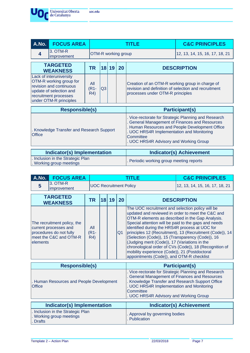

| A.No.                 | <b>FOCUS AREA</b>                                                                                                                                           |                                 |    |       |    | TITI E                                                                                                                                           | <b>C&amp;C PRINCIPLES</b>                                                                             |
|-----------------------|-------------------------------------------------------------------------------------------------------------------------------------------------------------|---------------------------------|----|-------|----|--------------------------------------------------------------------------------------------------------------------------------------------------|-------------------------------------------------------------------------------------------------------|
| $\overline{\bf 4}$    | 3. OTM-R<br>improvement                                                                                                                                     | OTM-R working group             |    |       |    |                                                                                                                                                  | 12, 13, 14, 15, 16, 17, 18, 21                                                                        |
|                       | <b>TARGETED</b><br><b>WEAKNESS</b>                                                                                                                          | <b>TR</b>                       |    | 18 19 | 20 | <b>DESCRIPTION</b>                                                                                                                               |                                                                                                       |
|                       | Lack of interuniversity<br>OTM-R working group for<br>revision and continuous<br>update of selection and<br>recruitment processes<br>under OTM-R principles | All<br>(R <sub>1</sub> -<br>R4) | Q3 |       |    | Creation of an OTM-R working group in charge of<br>revision and definition of selection and recruitment<br>processes under OTM-R principles      |                                                                                                       |
| <b>Responsible(s)</b> |                                                                                                                                                             |                                 |    |       |    |                                                                                                                                                  |                                                                                                       |
|                       |                                                                                                                                                             |                                 |    |       |    |                                                                                                                                                  | <b>Participant(s)</b>                                                                                 |
| Office                | . Knowledge Transfer and Research Support                                                                                                                   |                                 |    |       |    | General Management of Finances and Resources<br>. UOC HRS4R Implementation and Monitoring<br>Committee<br>. UOC HRS4R Advisory and Working Group | . Vice-rectorate for Strategic Planning and Research<br>Human Resources and People Development Office |
|                       | Indicator(s) Implementation                                                                                                                                 |                                 |    |       |    |                                                                                                                                                  | <b>Indicator(s) Achievement</b>                                                                       |

| A.No.                                                                                                                 | <b>FOCUS AREA</b>           |                       |                               |    |                | <b>TITLE</b>                                                                                                                                                                                                                                                                                                                                                                                                                                                           | <b>C&amp;C PRINCIPLES</b>                                                                                          |
|-----------------------------------------------------------------------------------------------------------------------|-----------------------------|-----------------------|-------------------------------|----|----------------|------------------------------------------------------------------------------------------------------------------------------------------------------------------------------------------------------------------------------------------------------------------------------------------------------------------------------------------------------------------------------------------------------------------------------------------------------------------------|--------------------------------------------------------------------------------------------------------------------|
| 3. OTM-R<br>5<br>improvement                                                                                          |                             |                       | <b>UOC Recruitment Policy</b> |    |                |                                                                                                                                                                                                                                                                                                                                                                                                                                                                        | 12, 13, 14, 15, 16, 17, 18, 21                                                                                     |
| <b>TARGETED</b><br><b>WEAKNESS</b>                                                                                    |                             | <b>TR</b>             | 18 <sup>1</sup>               | 19 | 20             |                                                                                                                                                                                                                                                                                                                                                                                                                                                                        | <b>DESCRIPTION</b>                                                                                                 |
| The recruitment policy, the<br>current processes and<br>procedures do not fully<br>meet the C&C and OTM-R<br>elements |                             | All<br>$(R1 -$<br>R4) |                               |    | Q <sub>1</sub> | The UOC recruitment and selection policy will be<br>updated and reviewed in order to meet the C&C and<br>OTM-R elements as described in the Gap Analysis.<br>Special attention will be paid to the gaps and needs<br>identified during the HRS4R process at UOC for<br>(Selection (Code)), 15 (Transparency (Code)), 16<br>(Judging merit (Code)), 17 (Variations in the<br>mobility experience (Code)), 21 (Postdoctoral<br>appointments (Code)), and OTM-R checklist | principles 12 (Recruitment), 13 (Recruitment (Code)), 14<br>chronological order of CVs (Code)), 18 (Recognition of |
|                                                                                                                       | <b>Responsible(s)</b>       |                       |                               |    |                |                                                                                                                                                                                                                                                                                                                                                                                                                                                                        | <b>Participant(s)</b>                                                                                              |
| . Human Resources and People Development<br>Office                                                                    |                             |                       |                               |    |                | General Management of Finances and Resources<br>Knowledge Transfer and Research Support Office<br>. UOC HRS4R Implementation and Monitoring<br>Committee<br>. UOC HRS4R Advisory and Working Group                                                                                                                                                                                                                                                                     | . Vice-rectorate for Strategic Planning and Research                                                               |
|                                                                                                                       | Indicator(s) Implementation |                       |                               |    |                |                                                                                                                                                                                                                                                                                                                                                                                                                                                                        | <b>Indicator(s) Achievement</b>                                                                                    |
| Inclusion in the Strategic Plan<br>. Working group meetings<br>Drafts                                                 |                             |                       |                               |    |                | Approval by governing bodies<br>Publication                                                                                                                                                                                                                                                                                                                                                                                                                            |                                                                                                                    |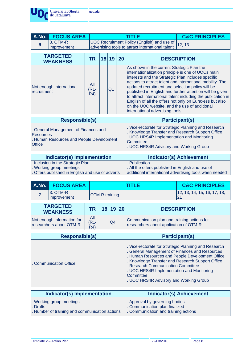

| A.No.                             | <b>FOCUS AREA</b>                                                            |                       |  |                |    | <b>TITLE</b>                                                                                                                                                                                                                                                                                    | <b>C&amp;C PRINCIPLES</b>                                                                                                                                                                                                                        |  |
|-----------------------------------|------------------------------------------------------------------------------|-----------------------|--|----------------|----|-------------------------------------------------------------------------------------------------------------------------------------------------------------------------------------------------------------------------------------------------------------------------------------------------|--------------------------------------------------------------------------------------------------------------------------------------------------------------------------------------------------------------------------------------------------|--|
| $6\phantom{1}6$                   | 3. OTM-R<br>improvement                                                      |                       |  |                |    | UOC Recruitment Policy (English) and use of<br>advertising tools to attract international talent                                                                                                                                                                                                | 12, 13                                                                                                                                                                                                                                           |  |
|                                   | <b>TARGETED</b><br><b>WEAKNESS</b>                                           | <b>TR</b>             |  | 18 19          | 20 |                                                                                                                                                                                                                                                                                                 | <b>DESCRIPTION</b>                                                                                                                                                                                                                               |  |
| recruitment                       | Not enough international                                                     | All<br>$(R1 -$<br>R4) |  | Q <sub>1</sub> |    | As shown in the current Strategic Plan the<br>internationalization principle is one of UOCs main<br>interests and the Strategic Plan includes specific<br>updated recruitment and selection policy will be<br>on the UOC website, and the use of additional<br>international advertising tools. | actions to attract talent and international mobility. The<br>published in English and further attention will be given<br>to attract international talent including the publication in<br>English of all the offers not only on Euraxess but also |  |
|                                   | <b>Responsible(s)</b>                                                        |                       |  |                |    |                                                                                                                                                                                                                                                                                                 | <b>Participant(s)</b>                                                                                                                                                                                                                            |  |
| <b>Resources</b><br><b>Office</b> | General Management of Finances and<br>Human Resources and People Development |                       |  |                |    | Vice-rectorate for Strategic Planning and Research<br>Knowledge Transfer and Research Support Office<br>UOC HRS4R Implementation and Monitoring<br>Committee<br>UOC HRS4R Advisory and Working Group                                                                                            |                                                                                                                                                                                                                                                  |  |
|                                   | Indicator(s) Implementation                                                  |                       |  |                |    | <b>Indicator(s) Achievement</b>                                                                                                                                                                                                                                                                 |                                                                                                                                                                                                                                                  |  |
|                                   | Inclusion in the Strategic Plan<br>. Working group meetings                  |                       |  |                |    | Publication<br>. All the offers published in English and use of                                                                                                                                                                                                                                 |                                                                                                                                                                                                                                                  |  |

. Working group meetings . Offers published in English and use of adverts additional international advertising tools when needed

| A.No. | <b>FOCUS AREA</b>                                     |                       |                 |    |    | TITLE                                                                                                                                                                                                                                                                                                        | <b>C&amp;C PRINCIPLES</b>                     |
|-------|-------------------------------------------------------|-----------------------|-----------------|----|----|--------------------------------------------------------------------------------------------------------------------------------------------------------------------------------------------------------------------------------------------------------------------------------------------------------------|-----------------------------------------------|
| 7     | 3. OTM-R<br>improvement                               | OTM-R training        |                 |    |    |                                                                                                                                                                                                                                                                                                              | 12, 13, 14, 15, 16, 17, 18,<br>21             |
|       | <b>TARGETED</b><br><b>WEAKNESS</b>                    | <b>TR</b>             | 18 <sup>1</sup> | 19 | 20 |                                                                                                                                                                                                                                                                                                              | <b>DESCRIPTION</b>                            |
|       | Not enough information for<br>researchers about OTM-R | All<br>$(R1 -$<br>R4) |                 | Q4 |    | Communication plan and training actions for<br>researchers about application of OTM-R                                                                                                                                                                                                                        |                                               |
|       | <b>Responsible(s)</b>                                 |                       |                 |    |    |                                                                                                                                                                                                                                                                                                              | <b>Participant(s)</b>                         |
|       | <b>Communication Office</b>                           |                       |                 |    |    | . Vice-rectorate for Strategic Planning and Research<br><b>General Management of Finances and Resources</b><br>Knowledge Transfer and Research Support Office<br><b>Research Communication Committee</b><br>. UOC HRS4R Implementation and Monitoring<br>Committee<br>. UOC HRS4R Advisory and Working Group | Human Resources and People Development Office |
|       | Indicator(s) Implementation                           |                       |                 |    |    |                                                                                                                                                                                                                                                                                                              | Indicator(s) Achievement                      |

| Indicator(s) Implementation                    | <b>Indicator(s) Achievement</b>      |
|------------------------------------------------|--------------------------------------|
| . Working group meetings                       | . Approval by governing bodies       |
| <b>L.</b> Drafts                               | . Communication plan finalized       |
| . Number of training and communication actions | . Communication and training actions |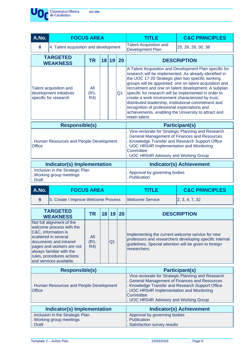

| A.No.                                                                                                                                                     |                                                                                                                                                                                                                                                 | <b>FOCUS AREA</b>     |    |                |    | <b>TITLE</b>                                                                                                                                                                                                                                                                                                                                                                                                                                                                                                                                                                             | <b>C&amp;C PRINCIPLES</b>                               |  |
|-----------------------------------------------------------------------------------------------------------------------------------------------------------|-------------------------------------------------------------------------------------------------------------------------------------------------------------------------------------------------------------------------------------------------|-----------------------|----|----------------|----|------------------------------------------------------------------------------------------------------------------------------------------------------------------------------------------------------------------------------------------------------------------------------------------------------------------------------------------------------------------------------------------------------------------------------------------------------------------------------------------------------------------------------------------------------------------------------------------|---------------------------------------------------------|--|
| 8                                                                                                                                                         | 4. Talent acquisition and development                                                                                                                                                                                                           |                       |    |                |    | <b>Talent Acquisition and</b><br><b>Development Plan</b>                                                                                                                                                                                                                                                                                                                                                                                                                                                                                                                                 | 25, 26, 28, 30, 38                                      |  |
|                                                                                                                                                           | <b>TARGETED</b>                                                                                                                                                                                                                                 | <b>TR</b>             |    | 18 19          | 20 | <b>DESCRIPTION</b>                                                                                                                                                                                                                                                                                                                                                                                                                                                                                                                                                                       |                                                         |  |
| <b>WEAKNESS</b><br>All<br><b>Talent acquisition and</b><br>development initiatives<br>(R <sub>1</sub> -<br>Q <sub>1</sub><br>specific for research<br>R4) |                                                                                                                                                                                                                                                 |                       |    |                |    | A Talent Acquisition and Development Plan specific for<br>research will be implemented. As already identified in<br>the UOC 17-20 Strategic plan two specific working<br>groups will be appointed: one on talent acquisition and<br>recruitment and one on talent development. A subplan<br>specific for research will be implemented in order to<br>create a work environment characterized by trust,<br>distributed leadership, institutional commitment and<br>recognition of professional expectations and<br>achievements, enabling the University to attract and<br>retain talent. |                                                         |  |
|                                                                                                                                                           | <b>Responsible(s)</b>                                                                                                                                                                                                                           |                       |    |                |    |                                                                                                                                                                                                                                                                                                                                                                                                                                                                                                                                                                                          | <b>Participant(s)</b>                                   |  |
| <b>Office</b>                                                                                                                                             | Human Resources and People Development                                                                                                                                                                                                          |                       |    |                |    | . Vice-rectorate for Strategic Planning and Research<br>. General Management of Finances and Resources<br>. Knowledge Transfer and Research Support Office<br>. UOC HRS4R Implementation and Monitoring<br>Committee<br>. UOC HRS4R Advisory and Working Group                                                                                                                                                                                                                                                                                                                           |                                                         |  |
|                                                                                                                                                           |                                                                                                                                                                                                                                                 |                       |    |                |    | <b>Indicator(s) Achievement</b>                                                                                                                                                                                                                                                                                                                                                                                                                                                                                                                                                          |                                                         |  |
| Indicator(s) Implementation<br>Inclusion in the Strategic Plan<br>Working group meetings<br><b>Draft</b>                                                  |                                                                                                                                                                                                                                                 |                       |    |                |    | Approval by governing bodies<br>. Publication                                                                                                                                                                                                                                                                                                                                                                                                                                                                                                                                            |                                                         |  |
|                                                                                                                                                           |                                                                                                                                                                                                                                                 |                       |    |                |    |                                                                                                                                                                                                                                                                                                                                                                                                                                                                                                                                                                                          |                                                         |  |
| A.No.                                                                                                                                                     |                                                                                                                                                                                                                                                 | <b>FOCUS AREA</b>     |    |                |    | <b>TITLE</b>                                                                                                                                                                                                                                                                                                                                                                                                                                                                                                                                                                             | <b>C&amp;C PRINCIPLES</b>                               |  |
| 9                                                                                                                                                         | 5. Create / Improve Welcome Process                                                                                                                                                                                                             |                       |    |                |    | <b>Welcome Service</b>                                                                                                                                                                                                                                                                                                                                                                                                                                                                                                                                                                   | 2, 3, 4, 7, 32                                          |  |
|                                                                                                                                                           | <b>TARGETED</b><br><b>WEAKNESS</b>                                                                                                                                                                                                              | <b>TR</b>             | 18 | 19             | 20 |                                                                                                                                                                                                                                                                                                                                                                                                                                                                                                                                                                                          | <b>DESCRIPTION</b>                                      |  |
|                                                                                                                                                           | Not full alignment of the<br>welcome process with the<br>C&C, information is<br>scattered in several<br>documents and intranet<br>pages and workers are not<br>always familiar with the<br>rules, procedures actions<br>and services available. | All<br>$(R1 -$<br>R4) |    | Q <sub>1</sub> |    | Implementing the current welcome service for new<br>guidelines. Special attention will be given to foreign<br>researchers.                                                                                                                                                                                                                                                                                                                                                                                                                                                               | professors and researchers developing specific internal |  |
|                                                                                                                                                           | <b>Responsible(s)</b>                                                                                                                                                                                                                           |                       |    |                |    |                                                                                                                                                                                                                                                                                                                                                                                                                                                                                                                                                                                          | <b>Participant(s)</b>                                   |  |
| <b>Office</b>                                                                                                                                             | . Human Resources and People Development                                                                                                                                                                                                        |                       |    |                |    | General Management of Finances and Resources<br>Knowledge Transfer and Research Support Office<br>UOC HRS4R Implementation and Monitoring<br>Committee<br>. UOC HRS4R Advisory and Working Group                                                                                                                                                                                                                                                                                                                                                                                         | . Vice-rectorate for Strategic Planning and Research    |  |
|                                                                                                                                                           | Indicator(s) Implementation                                                                                                                                                                                                                     |                       |    |                |    |                                                                                                                                                                                                                                                                                                                                                                                                                                                                                                                                                                                          | <b>Indicator(s) Achievement</b>                         |  |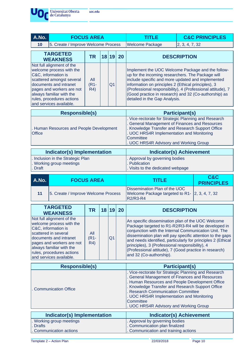

| - - - - -<br>______ | --------- |  |
|---------------------|-----------|--|
|                     |           |  |
|                     |           |  |
|                     |           |  |
|                     |           |  |
|                     |           |  |
|                     |           |  |

| A.No. | <b>FOCUS AREA</b>                                                                                                                                                                                                                                    |                                |      |                |       | 1 F                                                                                                                                                                                            | <b>C&amp;C PRINCIPLES</b>                                                                                                                                                 |
|-------|------------------------------------------------------------------------------------------------------------------------------------------------------------------------------------------------------------------------------------------------------|--------------------------------|------|----------------|-------|------------------------------------------------------------------------------------------------------------------------------------------------------------------------------------------------|---------------------------------------------------------------------------------------------------------------------------------------------------------------------------|
| 10    | 5. Create / Improve Welcome Process                                                                                                                                                                                                                  |                                |      |                |       | <b>Welcome Package</b>                                                                                                                                                                         | 2, 3, 4, 7, 32                                                                                                                                                            |
|       | <b>TARGETED</b><br><b>WEAKNESS</b>                                                                                                                                                                                                                   | TR                             | 18 I |                | 19 20 |                                                                                                                                                                                                | <b>DESCRIPTION</b>                                                                                                                                                        |
|       | Not full alignment of the<br>welcome process with the<br>C&C, information is<br>scattered amongst several<br>documents and intranet<br>pages and workers are not<br>always familiar with the<br>rules, procedures actions<br>and services available. | All<br>(R <sub>1-</sub><br>R4) |      | Q <sub>1</sub> |       | up for the incoming researchers. The Package will<br>include specific and more updated and implemented<br>information on principles 2 (Ethical principles), 3<br>detailed in the Gap Analysis. | Implement the UOC Welcome Package and the follow-<br>(Professional responsibility), 4 (Professional attitude), 7<br>(Good practice in research) and 32 (Co-authorship) as |
|       |                                                                                                                                                                                                                                                      |                                |      |                |       |                                                                                                                                                                                                | . <i>.</i>                                                                                                                                                                |

| <b>Responsible(s)</b>                                     | <b>Participant(s)</b>                                                                                                                                                                                                     |
|-----------------------------------------------------------|---------------------------------------------------------------------------------------------------------------------------------------------------------------------------------------------------------------------------|
| . Human Resources and People Development<br><b>Office</b> | . Vice-rectorate for Strategic Planning and Research<br>General Management of Finances and Resources<br>. Knowledge Transfer and Research Support Office<br>. UOC HRS4R Implementation and Monitoring<br><b>Committee</b> |
|                                                           | . UOC HRS4R Advisory and Working Group                                                                                                                                                                                    |

| Indicator(s) Implementation        | <b>Indicator(s) Achievement</b>   |
|------------------------------------|-----------------------------------|
| I. Inclusion in the Strategic Plan | . Approval by governing bodies    |
| . Working group meetings           | . Publication                     |
| Draft                              | . Visits to the dedicated webpage |

| A.No. | <b>FOCUS AREA</b>                   | TITI E                                                                                      | C&C<br><b>PRINCIPLES</b> |
|-------|-------------------------------------|---------------------------------------------------------------------------------------------|--------------------------|
| 11    | 5. Create / Improve Welcome Process | Dissemination Plan of the UOC<br>Welcome Package targeted to R1- 2, 3, 4, 7, 32<br>R2/R3-R4 |                          |

| <b>TARGETED</b><br><b>WEAKNESS</b>                                                                                                                                                                                                              | TR                    | 18 19 20       | <b>DESCRIPTION</b>                                                                                                                                                                                                                                                                                                                                                                                                                       |
|-------------------------------------------------------------------------------------------------------------------------------------------------------------------------------------------------------------------------------------------------|-----------------------|----------------|------------------------------------------------------------------------------------------------------------------------------------------------------------------------------------------------------------------------------------------------------------------------------------------------------------------------------------------------------------------------------------------------------------------------------------------|
| Not full alignment of the<br>welcome process with the<br>C&C, information is<br>scattered in several<br>documents and intranet<br>pages and workers are not<br>always familiar with the<br>rules, procedures actions<br>and services available. | All<br>$(R1 -$<br>R4) | Q <sub>1</sub> | An specific dissemination plan of the UOC Welcome<br>Package targeted to R1-R2/R3-R4 will be developed in<br>conjunction with the Internal Communication Unit. The<br>dissemination plan will pay specific attention to the gaps<br>and needs identified, particularly for principles 2 (Ethical<br>principles), 3 (Professional responsibility), 4<br>(Professional attitude), 7 (Good practice in research)<br>and 32 (Co-authorship). |

| <b>Responsible(s)</b>       | <b>Participant(s)</b>                                                                                                                                                                                                                                                                                                                                   |
|-----------------------------|---------------------------------------------------------------------------------------------------------------------------------------------------------------------------------------------------------------------------------------------------------------------------------------------------------------------------------------------------------|
| . Communication Office      | . Vice-rectorate for Strategic Planning and Research<br>. General Management of Finances and Resources<br>. Human Resources and People Development Office<br>. Knowledge Transfer and Research Support Office<br>. Research Communication Committee<br>. UOC HRS4R Implementation and Monitoring<br>Committee<br>. UOC HRS4R Advisory and Working Group |
| Indicator(s) Implementation | <b>Indicator(s) Achievement</b>                                                                                                                                                                                                                                                                                                                         |
| . Working group meetings    | . Approval by governing bodies                                                                                                                                                                                                                                                                                                                          |
| Drafts                      | . Communication plan finalized                                                                                                                                                                                                                                                                                                                          |
| Communication actions       | . Communication and training actions                                                                                                                                                                                                                                                                                                                    |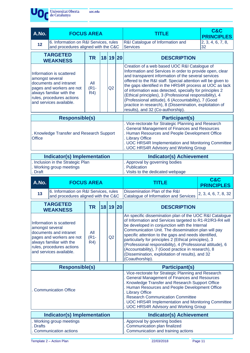

uoc.edu

| A.No.                                                                                                                                                                                                                 | <b>FOCUS AREA</b>                                                                                                                                                   |                                     |  |          |  | <b>TITLE</b>                                                                                                                                                                                                                                                                                                                                                                                                                                                                                                                                                               | C&C<br><b>PRINCIPLES</b>            |  |
|-----------------------------------------------------------------------------------------------------------------------------------------------------------------------------------------------------------------------|---------------------------------------------------------------------------------------------------------------------------------------------------------------------|-------------------------------------|--|----------|--|----------------------------------------------------------------------------------------------------------------------------------------------------------------------------------------------------------------------------------------------------------------------------------------------------------------------------------------------------------------------------------------------------------------------------------------------------------------------------------------------------------------------------------------------------------------------------|-------------------------------------|--|
| 12                                                                                                                                                                                                                    | 6. Information on R&I Services, rules<br>and procedures aligned with the C&C                                                                                        |                                     |  |          |  | R&I Catalogue of Information and<br><b>Services</b>                                                                                                                                                                                                                                                                                                                                                                                                                                                                                                                        | 2, 3, 4, 6, 7, 8,<br>32             |  |
|                                                                                                                                                                                                                       | <b>TARGETED</b><br><b>WEAKNESS</b>                                                                                                                                  | <b>TR</b>                           |  | 18 19 20 |  | <b>DESCRIPTION</b>                                                                                                                                                                                                                                                                                                                                                                                                                                                                                                                                                         |                                     |  |
| amongst several                                                                                                                                                                                                       | Information is scattered<br>documents and intranet<br>pages and workers are not<br>always familiar with the<br>rules, procedures actions<br>and services available. | All<br>Q2<br>$(R1 -$<br><b>R4</b> ) |  |          |  | Creation of a web based UOC R&I Catalogue of<br>Information and Services in order to provide open, clear<br>and transparent information of the several services<br>offered to the R&I staff. Special attention will be given to<br>the gaps identified in the HRS4R process at UOC as lack<br>of information was detected, specially for principles 2<br>(Ethical principles), 3 (Professional responsibility), 4<br>(Professional attitude), 6 (Accountability), 7 (Good<br>practice in research), 8 (Dissemination, exploitation of<br>results), and 32 (Co-authorship). |                                     |  |
|                                                                                                                                                                                                                       | <b>Responsible(s)</b>                                                                                                                                               |                                     |  |          |  | <b>Participant(s)</b>                                                                                                                                                                                                                                                                                                                                                                                                                                                                                                                                                      |                                     |  |
| <b>Office</b>                                                                                                                                                                                                         | . Knowledge Transfer and Research Support                                                                                                                           |                                     |  |          |  | . Vice-rectorate for Strategic Planning and Research<br>. General Management of Finances and Resources<br>Human Resources and People Development Office<br>. Library Office<br>. UOC HRS4R Implementation and Monitoring Committee<br>. UOC HRS4R Advisory and Working Group                                                                                                                                                                                                                                                                                               |                                     |  |
|                                                                                                                                                                                                                       | <b>Indicator(s) Implementation</b>                                                                                                                                  |                                     |  |          |  | <b>Indicator(s) Achievement</b>                                                                                                                                                                                                                                                                                                                                                                                                                                                                                                                                            |                                     |  |
| . Inclusion in the Strategic Plan<br>. Working group meetings<br>. Draft                                                                                                                                              |                                                                                                                                                                     |                                     |  |          |  | Approval by governing bodies<br>. Publication<br>Visits to the dedicated webpage                                                                                                                                                                                                                                                                                                                                                                                                                                                                                           |                                     |  |
| A.No.                                                                                                                                                                                                                 | <b>FOCUS AREA</b>                                                                                                                                                   |                                     |  |          |  | <b>TITLE</b>                                                                                                                                                                                                                                                                                                                                                                                                                                                                                                                                                               | <b>C&amp;C</b><br><b>PRINCIPLES</b> |  |
| 13                                                                                                                                                                                                                    | 6. Information on R&I Services, rules<br>and procedures aligned with the C&C                                                                                        |                                     |  |          |  | Dissemination Plan of the R&I<br>Catalogue of Information and Services                                                                                                                                                                                                                                                                                                                                                                                                                                                                                                     | 2, 3, 4, 6, 7, 8, 32                |  |
|                                                                                                                                                                                                                       | <b>TARGETED</b><br><b>WEAKNESS</b>                                                                                                                                  | <b>TR</b>                           |  | 18 19 20 |  | <b>DESCRIPTION</b>                                                                                                                                                                                                                                                                                                                                                                                                                                                                                                                                                         |                                     |  |
| Information is scattered<br>amongst several<br>documents and intranet<br>All<br>$(R1 -$<br>Q2<br>pages and workers are not<br>R4)<br>always familiar with the<br>rules, procedures actions<br>and services available. |                                                                                                                                                                     |                                     |  |          |  | An specific dissemination plan of the UOC R&I Catalogue<br>of Information and Services targeted to R1-R2/R3-R4 will<br>be developed in conjunction with the Internal<br>Communication Unit. The dissemination plan will pay<br>specific attention to the gaps and needs identified,<br>particularly for principles 2 (Ethical principles), 3<br>(Professional responsibility), 4 (Professional attitude), 6<br>(Accountability), 7 (Good practice in research), 8<br>(Dissemination, exploitation of results), and 32<br>(Coauthorship).                                   |                                     |  |
|                                                                                                                                                                                                                       | <b>Responsible(s)</b>                                                                                                                                               |                                     |  |          |  | <b>Participant(s)</b>                                                                                                                                                                                                                                                                                                                                                                                                                                                                                                                                                      |                                     |  |
| . Communication Office                                                                                                                                                                                                |                                                                                                                                                                     |                                     |  |          |  |                                                                                                                                                                                                                                                                                                                                                                                                                                                                                                                                                                            |                                     |  |
|                                                                                                                                                                                                                       |                                                                                                                                                                     |                                     |  |          |  | . Vice-rectorate for Strategic Planning and Research<br>General Management of Finances and Resources<br>. Knowledge Transfer and Research Support Office<br>. Human Resources and People Development Office<br>. Library Office<br>. Research Communication Committee<br>. UOC HRS4R Implementation and Monitoring Committee<br>UOC HRS4R Advisory and Working Group                                                                                                                                                                                                       |                                     |  |
|                                                                                                                                                                                                                       | Indicator(s) Implementation                                                                                                                                         |                                     |  |          |  | <b>Indicator(s) Achievement</b>                                                                                                                                                                                                                                                                                                                                                                                                                                                                                                                                            |                                     |  |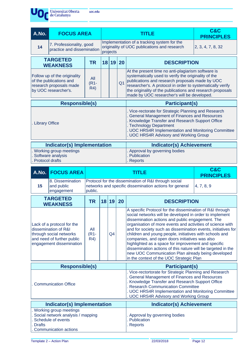

| A.No.                 | <b>FOCUS AREA</b>                                                                                          |                       |                |       |           | <b>TITLE</b>                                                                                                                                                                                                                                                                                                                             | C&C<br><b>PRINCIPLES</b> |
|-----------------------|------------------------------------------------------------------------------------------------------------|-----------------------|----------------|-------|-----------|------------------------------------------------------------------------------------------------------------------------------------------------------------------------------------------------------------------------------------------------------------------------------------------------------------------------------------------|--------------------------|
| 14                    | 7. Professionality, good<br>practice and dissemination                                                     |                       | projects       |       |           | Implementation of a tracking system for the<br>originality of UOC publications and research                                                                                                                                                                                                                                              | 2, 3, 4, 7, 8, 32        |
|                       | <b>TARGETED</b><br><b>WEAKNESS</b>                                                                         | <b>TR</b>             |                | 18 19 | <b>20</b> | <b>DESCRIPTION</b>                                                                                                                                                                                                                                                                                                                       |                          |
|                       | Follow up of the originality<br>of the publications and<br>research proposals made<br>by UOC researcher's. | All<br>$(R1 -$<br>R4) | Q <sub>1</sub> |       |           | At the present time no anti-plagiarism software is<br>systematically used to verify the originality of the<br>publications and research proposals made by UOC<br>researcher's. A protocol in order to systematically verify<br>the originality of the publications and research proposals<br>made by UOC researcher's will be developed. |                          |
| <b>Responsible(s)</b> |                                                                                                            |                       |                |       |           | <b>Participant(s)</b>                                                                                                                                                                                                                                                                                                                    |                          |
| <b>Library Office</b> |                                                                                                            |                       |                |       |           | . Vice-rectorate for Strategic Planning and Research<br>General Management of Finances and Resources<br>. Knowledge Transfer and Research Support Office<br>. Technology Department<br>. UOC HRS4R Implementation and Monitoring Committee<br>. UOC HRS4R Advisory and Working Group                                                     |                          |
|                       | Indicator(s) Implementation                                                                                |                       |                |       |           | <b>Indicator(s) Achievement</b>                                                                                                                                                                                                                                                                                                          |                          |
|                       | Working group meetings<br>Software analysis                                                                |                       |                |       |           | . Approval by governing bodies<br>. Publication                                                                                                                                                                                                                                                                                          |                          |

- . Software analysis
- . Protocol drafts

|    | A.No. FOCUS AREA                             | <b>TITLE</b>                                                                                                               | C&C<br><b>PRINCIPLES</b> |
|----|----------------------------------------------|----------------------------------------------------------------------------------------------------------------------------|--------------------------|
| 15 | 8. Dissemination<br>and public<br>engagement | Protocol for the dissemination of R&I through social<br>networks and specific dissemination actions for general<br>public. | 4, 7, 8, 9               |

. Reports

| <b>TARGETED</b><br><b>WEAKNESS</b>                                                                                                      | <b>TR</b>             |  | 18 19                           | <b>20</b> | <b>DESCRIPTION</b>                                                                                                                                                                                                                                                                                                                                                                                                                                                                                                                                                                                                                           |
|-----------------------------------------------------------------------------------------------------------------------------------------|-----------------------|--|---------------------------------|-----------|----------------------------------------------------------------------------------------------------------------------------------------------------------------------------------------------------------------------------------------------------------------------------------------------------------------------------------------------------------------------------------------------------------------------------------------------------------------------------------------------------------------------------------------------------------------------------------------------------------------------------------------------|
| Lack of a protocol for the<br>dissemination of R&I<br>through social networks<br>and need of further public<br>engagement dissemination | All<br>$(R1 -$<br>R4) |  | Q <sub>4</sub>                  |           | A specific Protocol for the dissemination of R&I through<br>social networks will be developed in order to implement<br>dissemination actions and public engagement. The<br>organisation of more events and activities of science with<br>and for society such as dissemination events, initiatives for<br>children and young people, initiatives with schools and<br>companies, and open doors initiatives was also<br>highlighted as a space for improvement and specific<br>dissemination actions of this nature will be targeted in the<br>new UOC Communication Plan already being developed<br>in the context of the UOC Strategic Plan |
| <b>Responsible(s)</b>                                                                                                                   |                       |  |                                 |           | <b>Participant(s)</b>                                                                                                                                                                                                                                                                                                                                                                                                                                                                                                                                                                                                                        |
| <b>Communication Office</b>                                                                                                             |                       |  |                                 |           | . Vice-rectortorate for Strategic Planning and Research<br>. General Management of Finances and Resources<br>Knowledge Transfer and Research Support Office<br>Research Communication Committee<br>. UOC HRS4R Implementation and Monitoring Committee<br>. UOC HRS4R Advisory and Working Group                                                                                                                                                                                                                                                                                                                                             |
| Indicator(s) Implementation                                                                                                             |                       |  | <b>Indicator(s) Achievement</b> |           |                                                                                                                                                                                                                                                                                                                                                                                                                                                                                                                                                                                                                                              |
| Working group meetings<br>Social network analysis / mapping<br>Schedule of events<br><b>Drafts</b><br>Communication actions             |                       |  |                                 |           | . Approval by governing bodies<br><b>Publication</b><br>Reports                                                                                                                                                                                                                                                                                                                                                                                                                                                                                                                                                                              |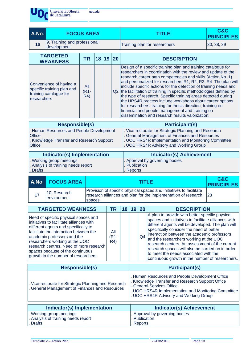Universitat Oberta uoc.edu de Catalunya

**A.No. FOCUS AREA TITLE C&C PRINCIPLES 16** 9. Training and professional development Training plan for researchers  $\vert$ 30, 38, 39 **TARGETED WEAKNESS TR <sup>18</sup> <sup>19</sup> <sup>20</sup> DESCRIPTION** Convenience of having a specific training plan and training catalogue for researchers All (R1- R4) Q2 the facilitation of training in specific methodologies defined by Design of a specific training plan and training catalogue for researchers in coordination with the review and update of the research career path competencies and skills (Action No. 1) and personalized for researchers R1, R2, R3, R4. The plan will include specific actions for the detection of training needs and the type of research. Specific training areas detected during the HRS4R process include workshops about career options for researchers, training for thesis direction, training on financial and people management and training on dissemination and research results valorization.

| <b>Responsible(s)</b>                                                                                                   | <b>Participant(s)</b>                                                                                                                                                                                   |
|-------------------------------------------------------------------------------------------------------------------------|---------------------------------------------------------------------------------------------------------------------------------------------------------------------------------------------------------|
| . Human Resources and People Development<br><b>Office</b><br>. Knowledge Transfer and Research Support<br><b>Office</b> | . Vice-rectorate for Strategic Planning and Research<br>. General Management of Finances and Resources<br>. UOC HRS4R Implementation and Monitoring Committee<br>. UOC HRS4R Advisory and Working Group |
| Indicator(s) Implementation                                                                                             | <b>Indicator(s) Achievement</b>                                                                                                                                                                         |

| Indicator(s) Implementation         | Indicator(s) Achievement        |
|-------------------------------------|---------------------------------|
| . Working group meetings            | I. Approval by governing bodies |
| . Analysis of training needs report | l. Publication                  |
| <b>Drafts</b>                       | . Reports                       |
|                                     |                                 |

| <b>A.No. FOCUS AREA</b>      | TITI E                                                                                                                                               | C&C<br><b>PRINCIPLES</b> |
|------------------------------|------------------------------------------------------------------------------------------------------------------------------------------------------|--------------------------|
| 10. Research<br>lenvironment | Provision of specific physical spaces and initiatives to facilitate<br>research alliances and plan for the implementation of research 23<br>Ispaces. |                          |

| <b>TARGETED WEAKNESS</b>                                                                                                                                                                                                                                                                                                                                   | TR                 | 18 | 19 | 20 | <b>DESCRIPTION</b>                                                                                                                                                                                                                                                                                                                                                                                                                                                                                 |
|------------------------------------------------------------------------------------------------------------------------------------------------------------------------------------------------------------------------------------------------------------------------------------------------------------------------------------------------------------|--------------------|----|----|----|----------------------------------------------------------------------------------------------------------------------------------------------------------------------------------------------------------------------------------------------------------------------------------------------------------------------------------------------------------------------------------------------------------------------------------------------------------------------------------------------------|
| Need of specific physical spaces and<br>initiatives to facilitate alliances with<br>different agents and specifically to<br>facilitate the interaction between the<br>academic professors and the<br>researchers working at the UOC<br>research centres. Need of more research<br>spaces because of the continuous<br>growth in the number of researchers. | All<br>(R1-<br>R4) |    |    | Q4 | A plan to provide with better specific physical<br>spaces and initiatives to facilitate alliances with<br>different agents will be developed. The plan will<br>specifically consider the need of better<br>interaction between the academic professors<br>and the researchers working at the UOC<br>research centers. An assessment of the current<br>research spaces will also be carried on in order<br>to meet the needs associated with the<br>continuous growth in the number of researchers. |
| <b>Responsible(s)</b>                                                                                                                                                                                                                                                                                                                                      |                    |    |    |    | <b>Participant(s)</b>                                                                                                                                                                                                                                                                                                                                                                                                                                                                              |
| . Vice-rectorate for Strategic Planning and Research                                                                                                                                                                                                                                                                                                       |                    |    |    |    | . Human Resources and People Development Office<br>. Knowledge Transfer and Research Support Office<br>Conoral Convices Office                                                                                                                                                                                                                                                                                                                                                                     |

| vice-rectorate for Strategic Planning and Research<br>General Management of Finances and Resources | - General Services Office<br> . UOC HRS4R Implementation and Monitoring Committee<br>. UOC HRS4R Advisory and Working Group |
|----------------------------------------------------------------------------------------------------|-----------------------------------------------------------------------------------------------------------------------------|
|                                                                                                    |                                                                                                                             |

| Indicator(s) Implementation       | <b>Indicator(s) Achievement</b> |
|-----------------------------------|---------------------------------|
| . Working group meetings          | . Approval by governing bodies  |
| Analysis of training needs report | . Publication                   |
| <b>Drafts</b>                     | . Reports                       |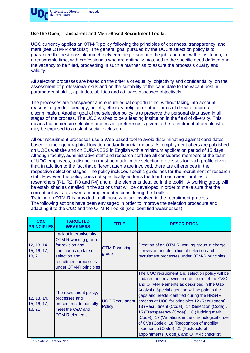

#### **Use the Open, Transparent and Merit-Based Recruitment Toolkit**

UOC currently applies an OTM-R policy following the principles of openness, transparency, and merit (see OTM-R checklist). The general goal pursued by the UOC's selection policy is to guarantee the best possible match between the person and the job, and endow the institution, in a reasonable time, with professionals who are optimally matched to the specific need defined and the vacancy to be filled, proceeding in such a manner as to assure the process's quality and validity.

All selection processes are based on the criteria of equality, objectivity and confidentiality, on the assessment of professional skills and on the suitability of the candidate to the vacant post in parameters of skills, aptitudes, abilities and attitudes assessed objectively.

The processes are transparent and ensure equal opportunities, without taking into account reasons of gender, ideology, beliefs, ethnicity, religion or other forms of direct or indirect discrimination. Another goal of the selection policy is to preserve the personal data used in all stages of the process. The UOC wishes to be a leading institution in the field of diversity. This means that in certain selection processes, preference is given to the recruitment of people who may be exposed to a risk of social exclusion.

All our recruitment processes use a Web-based tool to avoid discriminating against candidates based on their geographical location and/or financial means. All employment offers are published on UOCs website and on EURAXESS in English with a minimum application period of 15 days. Although faculty, administrative staff and research staff are all considered members of the team of UOC employees, a distinction must be made in the selection processes for each profile given that, in addition to the fact that different agents are involved, there are differences in the respective selection stages. The policy includes specific guidelines for the recruitment of research staff. However, the policy does not specifically address the four broad career profiles for researchers (R1, R2, R3 and R4) and all the elements detailed in the toolkit. A working group will be established as detailed in the actions that will be developed in order to make sure that the current policy is reviewed and implemented considering the Toolkit.

Training on OTM-R is provided to all those who are involved in the recruitment process. The following actions have been envisaged in order to improve the selection procedure and adapting it to the C&C and the OTM-R Toolkit (see identified weaknesses):

| C&C<br><b>PRINCIPLES</b>             | <b>TARGETED</b><br><b>WEAKNESS</b>                                                                                                                             | <b>TITLE</b>                            | <b>DESCRIPTION</b>                                                                                                                                                                                                                                                                                                                                                                                                                                                                                                                                                                              |
|--------------------------------------|----------------------------------------------------------------------------------------------------------------------------------------------------------------|-----------------------------------------|-------------------------------------------------------------------------------------------------------------------------------------------------------------------------------------------------------------------------------------------------------------------------------------------------------------------------------------------------------------------------------------------------------------------------------------------------------------------------------------------------------------------------------------------------------------------------------------------------|
| 12, 13, 14,<br>15, 16, 17,<br>18, 21 | Lack of interuniversity<br>OTM-R working group<br>for revision and<br>continuous update of<br>selection and<br>recruitment processes<br>under OTM-R principles | <b>OTM-R working</b><br>group           | Creation of an OTM-R working group in charge<br>of revision and definition of selection and<br>recruitment processes under OTM-R principles                                                                                                                                                                                                                                                                                                                                                                                                                                                     |
| 12, 13, 14,<br>15, 16, 17,<br>18, 21 | The recruitment policy,<br>processes and<br>procedures do not fully<br>meet the C&C and<br><b>OTM-R</b> elements                                               | <b>UOC Recruitment</b><br><b>Policy</b> | The UOC recruitment and selection policy will be<br>updated and reviewed in order to meet the C&C<br>and OTM-R elements as described in the Gap<br>Analysis. Special attention will be paid to the<br>gaps and needs identified during the HRS4R<br>process at UOC for principles 12 (Recruitment),<br>13 (Recruitment (Code)), 14 (Selection (Code)),<br>15 (Transparency (Code)), 16 (Judging merit<br>(Code)), 17 (Variations in the chronological order<br>of CVs (Code)), 18 (Recognition of mobility<br>experience (Code)), 21 (Postdoctoral<br>appointments (Code)), and OTM-R checklist |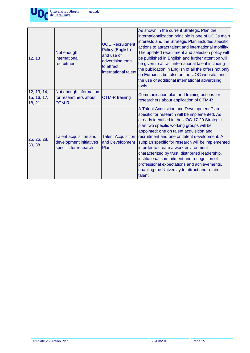

12, 13 Not enough international recruitment UOC Recruitment Policy (English) and use of advertising tools to attract international talent As shown in the current Strategic Plan the internationalization principle is one of UOCs main interests and the Strategic Plan includes specific actions to attract talent and international mobility. The updated recruitment and selection policy will be published in English and further attention will be given to attract international talent including the publication in English of all the offers not only on Euraxess but also on the UOC website, and the use of additional international advertising tools. 12, 13, 14, 15, 16, 17, 18, 21 Not enough information for researchers about OTM-R OTM-R training Communication plan and training actions for researchers about application of OTM-R 25, 26, 28, 30, 38 Talent acquisition and development initiatives specific for research Talent Acquisition and Development Plan A Talent Acquisition and Development Plan specific for research will be implemented. As already identified in the UOC 17-20 Strategic plan two specific working groups will be appointed: one on talent acquisition and recruitment and one on talent development. A subplan specific for research will be implemented in order to create a work environment characterized by trust, distributed leadership, institutional commitment and recognition of professional expectations and achievements, enabling the University to attract and retain talent.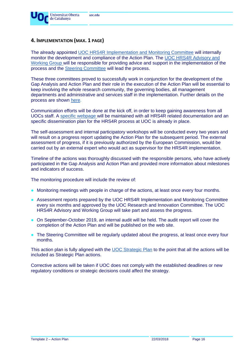

### **4. IMPLEMENTATION (MAX. 1 PAGE)**

The already appointed [UOC HRS4R Implementation and Monitoring Committee](http://research.uoc.edu/portal/en/ri/activitat-rdi/hrs4r/membres/index.html) will internally monitor the development and compliance of the Action Plan. The [UOC HRS4R Advisory and](http://research.uoc.edu/portal/en/ri/activitat-rdi/hrs4r/membres/index.html)  [Working Group](http://research.uoc.edu/portal/en/ri/activitat-rdi/hrs4r/membres/index.html) will be responsible for providing advice and support in the implementation of the process and the [Steering Committee](http://research.uoc.edu/portal/en/ri/activitat-rdi/hrs4r/membres/index.html) will lead the process.

These three committees proved to successfully work in conjunction for the development of the Gap Analysis and Action Plan and their role in the execution of the Action Plan will be essential to keep involving the whole research community, the governing bodies, all management departments and administrative and services staff in the implementation. Further details on the process are shown [here.](http://research.uoc.edu/portal/en/ri/activitat-rdi/hrs4r/proces/index.html)

Communication efforts will be done at the kick off, in order to keep gaining awareness from all UOCs staff. A specific [webpage](http://research.uoc.edu/portal/en/ri/activitat-rdi/hrs4r/index.html) will be maintained with all HRS4R related documentation and an specific dissemination plan for the HRS4R process at UOC is already in place.

The self-assessment and internal participatory workshops will be conducted every two years and will result on a progress report updating the Action Plan for the subsequent period. The external assessment of progress, if it is previously authorized by the European Commission, would be carried out by an external expert who would act as supervisor for the HRS4R implementation.

Timeline of the actions was thoroughly discussed with the responsible persons, who have actively participated in the Gap Analysis and Action Plan and provided more information about milestones and indicators of success.

The monitoring procedure will include the review of:

- Monitoring meetings with people in charge of the actions, at least once every four months.
- Assessment reports prepared by the UOC HRS4R Implementation and Monitoring Committee every six months and approved by the UOC Research and Innovation Committee. The UOC HRS4R Advisory and Working Group will take part and assess the progress.
- On September-October 2019, an internal audit will be held. The audit report will cover the completion of the Action Plan and will be published on the web site.
- The Steering Committee will be regularly updated about the progress, at least once every four months.

This action plan is fully aligned with the [UOC Strategic Plan](http://www.uoc.edu/portal/en/universitat/pla-estrategic/index.html) to the point that all the actions will be included as Strategic Plan actions.

Corrective actions will be taken if UOC does not comply with the established deadlines or new regulatory conditions or strategic decisions could affect the strategy.